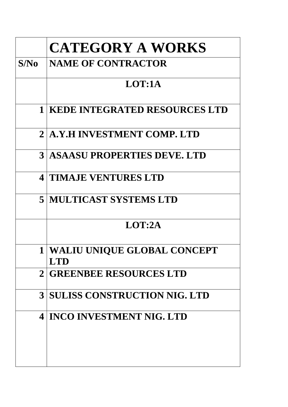|                  | <b>CATEGORY A WORKS</b>                          |
|------------------|--------------------------------------------------|
| S/N <sub>0</sub> | <b>NAME OF CONTRACTOR</b>                        |
|                  | LOT:1A                                           |
|                  | <b>1 KEDE INTEGRATED RESOURCES LTD</b>           |
| 2 <sub>1</sub>   | <b>A.Y.H INVESTMENT COMP. LTD</b>                |
| $\mathbf{3}$     | <b>ASAASU PROPERTIES DEVE. LTD</b>               |
|                  | <b>4 TIMAJE VENTURES LTD</b>                     |
|                  | <b>5 MULTICAST SYSTEMS LTD</b>                   |
|                  | LOT:2A                                           |
| $\mathbf{1}$     | <b>WALIU UNIQUE GLOBAL CONCEPT</b><br><b>LTD</b> |
|                  | <b>2 GREENBEE RESOURCES LTD</b>                  |
| 3 <sup>1</sup>   | <b>SULISS CONSTRUCTION NIG. LTD</b>              |
| 4                | <b>INCO INVESTMENT NIG. LTD</b>                  |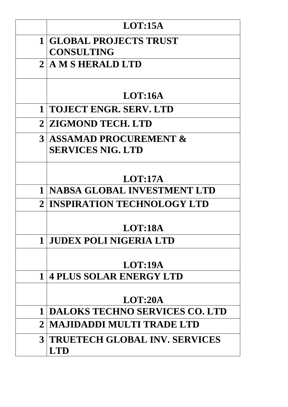|                | LOT:15A                                                        |
|----------------|----------------------------------------------------------------|
| $\mathbf 1$    | <b>GLOBAL PROJECTS TRUST</b>                                   |
|                | <b>CONSULTING</b>                                              |
|                | 2 A M S HERALD LTD                                             |
|                | LOT:16A                                                        |
| $\mathbf 1$    | <b>TOJECT ENGR. SERV. LTD</b>                                  |
|                | 2 ZIGMOND TECH. LTD                                            |
|                | <b>3 ASSAMAD PROCUREMENT &amp;</b><br><b>SERVICES NIG. LTD</b> |
|                |                                                                |
|                | LOT:17A                                                        |
| $\mathbf 1$    | <b>NABSA GLOBAL INVESTMENT LTD</b>                             |
|                | <b>2 INSPIRATION TECHNOLOGY LTD</b>                            |
|                | LOT:18A                                                        |
| $\mathbf 1$    | <b>JUDEX POLI NIGERIA LTD</b>                                  |
|                | LOT:19A                                                        |
| $\mathbf 1$    | <b>4 PLUS SOLAR ENERGY LTD</b>                                 |
|                | LOT:20A                                                        |
| $\mathbf{1}$   | <b>DALOKS TECHNO SERVICES CO. LTD</b>                          |
| $\mathbf{2}$   | <b>MAJIDADDI MULTI TRADE LTD</b>                               |
| 3 <sup>1</sup> | <b>TRUETECH GLOBAL INV. SERVICES</b><br><b>LTD</b>             |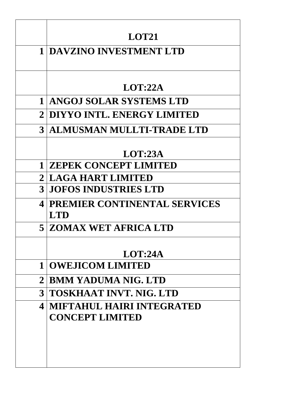|                | <b>LOT21</b>                          |
|----------------|---------------------------------------|
| $\mathbf{1}$   | <b>DAVZINO INVESTMENT LTD</b>         |
|                |                                       |
|                |                                       |
|                | LOT:22A                               |
| $\mathbf{1}$   | <b>ANGOJ SOLAR SYSTEMS LTD</b>        |
|                | 2 DIYYO INTL. ENERGY LIMITED          |
|                | <b>3 ALMUSMAN MULLTI-TRADE LTD</b>    |
|                |                                       |
|                | LOT:23A                               |
|                | <b>1 ZEPEK CONCEPT LIMITED</b>        |
|                | <b>2   LAGA HART LIMITED</b>          |
|                | <b>3 JOFOS INDUSTRIES LTD</b>         |
|                | <b>4 PREMIER CONTINENTAL SERVICES</b> |
|                | <b>LTD</b>                            |
|                | 5 ZOMAX WET AFRICA LTD                |
|                |                                       |
|                | LOT:24A                               |
| $\mathbf 1$    | <b>OWEJICOM LIMITED</b>               |
| 2 <sub>1</sub> | <b>BMM YADUMA NIG. LTD</b>            |
|                | 3   TOSKHAAT INVT. NIG. LTD           |
|                | 4   MIFTAHUL HAIRI INTEGRATED         |
|                | <b>CONCEPT LIMITED</b>                |
|                |                                       |
|                |                                       |
|                |                                       |
|                |                                       |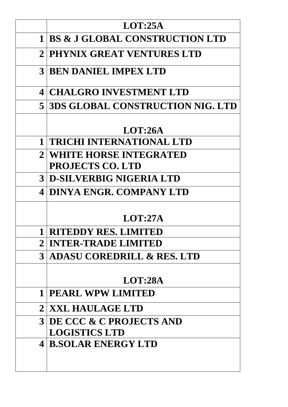|                | LOT:25A                                     |
|----------------|---------------------------------------------|
|                | <b>1 BS &amp; J GLOBAL CONSTRUCTION LTD</b> |
|                | 2 PHYNIX GREAT VENTURES LTD                 |
|                | <b>3 BEN DANIEL IMPEX LTD</b>               |
| $\overline{4}$ | <b>CHALGRO INVESTMENT LTD</b>               |
|                | <b>5 3DS GLOBAL CONSTRUCTION NIG. LTD</b>   |
|                | LOT:26A                                     |
| $\mathbf{1}$   | <b>TRICHI INTERNATIONAL LTD</b>             |
|                | <b>2 WHITE HORSE INTEGRATED</b>             |
|                | <b>PROJECTS CO. LTD</b>                     |
|                | <b>3 D-SILVERBIG NIGERIA LTD</b>            |
|                | 4 DINYA ENGR. COMPANY LTD                   |
|                | LOT:27A                                     |
|                | RITEDDY RES. LIMITED                        |
| $\overline{2}$ | <b>INTER-TRADE LIMITED</b>                  |
|                | <b>3 ADASU COREDRILL &amp; RES. LTD</b>     |
|                | LOT:28A                                     |
|                | <b>1 PEARL WPW LIMITED</b>                  |
|                |                                             |
|                | <b>2 XXL HAULAGE LTD</b>                    |
|                | <b>3 DE CCC &amp; C PROJECTS AND</b>        |
|                | <b>LOGISTICS LTD</b>                        |
|                | <b>4 B.SOLAR ENERGY LTD</b>                 |
|                |                                             |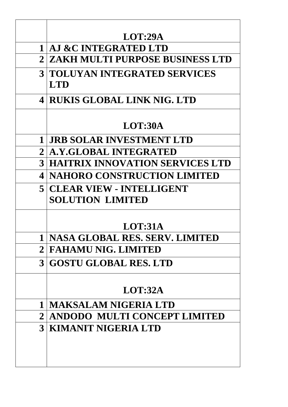|                | LOT:29A                                            |
|----------------|----------------------------------------------------|
| $\mathbf 1$    | AJ &C INTEGRATED LTD                               |
| 2 <sub>1</sub> | <b>ZAKH MULTI PURPOSE BUSINESS LTD</b>             |
|                | <b>3 TOLUYAN INTEGRATED SERVICES</b><br><b>LTD</b> |
|                | <b>4 RUKIS GLOBAL LINK NIG. LTD</b>                |
|                | LOT:30A                                            |
| $\mathbf 1$    | <b>JRB SOLAR INVESTMENT LTD</b>                    |
| 2 <sub>1</sub> | <b>A.Y.GLOBAL INTEGRATED</b>                       |
|                | <b>3 HAITRIX INNOVATION SERVICES LTD</b>           |
| 4              | <b>NAHORO CONSTRUCTION LIMITED</b>                 |
|                | <b>5 CLEAR VIEW - INTELLIGENT</b>                  |
|                | <b>SOLUTION LIMITED</b>                            |
|                | LOT:31A                                            |
| 1<br>┻         | NASA GLOBAL RES. SERV. LIMITH                      |
| $\mathbf 2$    | <b>FAHAMU NIG. LIMITED</b>                         |
|                | <b>3 GOSTU GLOBAL RES. LTD</b>                     |
|                | LOT:32A                                            |
| $\mathbf 1$    | <b>MAKSALAM NIGERIA LTD</b>                        |
| 2 <sub>1</sub> | ANDODO MULTI CONCEPT LIMITED                       |
| 3 <sup>1</sup> | KIMANIT NIGERIA LTD                                |
|                |                                                    |
|                |                                                    |
|                |                                                    |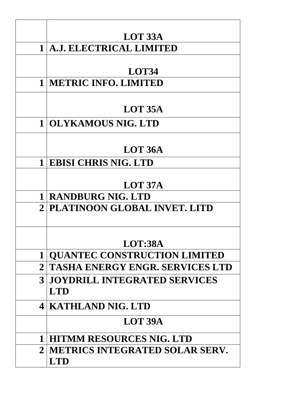|                | LOT 33A                               |
|----------------|---------------------------------------|
|                | 1   A.J. ELECTRICAL LIMITED           |
|                |                                       |
|                | LOT34                                 |
| 1 <sup>1</sup> | <b>METRIC INFO. LIMITED</b>           |
|                |                                       |
|                | LOT 35A                               |
|                | 1 OLYKAMOUS NIG. LTD                  |
|                |                                       |
|                |                                       |
|                | <b>LOT 36A</b>                        |
| $\mathbf{1}$   | <b>EBISI CHRIS NIG. LTD</b>           |
|                |                                       |
|                | LOT 37A                               |
|                | <b>1 RANDBURG NIG. LTD</b>            |
|                | 2 PLATINOON GLOBAL INVET. LITD        |
|                |                                       |
|                |                                       |
|                | LOT:38A                               |
| $1\vert$       | <b>QUANTEC CONSTRUCTION LIMITED</b>   |
|                | 2 TASHA ENERGY ENGR. SERVICES LTD     |
|                | <b>3 JOYDRILL INTEGRATED SERVICES</b> |
|                | <b>LTD</b>                            |
|                | <b>4 KATHLAND NIG. LTD</b>            |
|                |                                       |
|                | LOT 39A                               |
|                | <b>1 HITMM RESOURCES NIG. LTD</b>     |
|                | 2   METRICS INTEGRATED SOLAR SERV.    |
|                | <b>LTD</b>                            |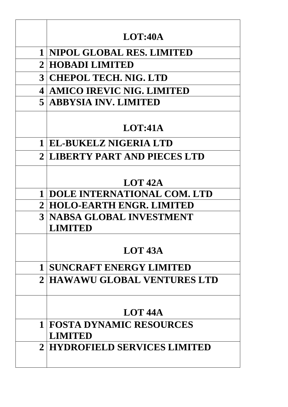|                      | LOT:40A                              |
|----------------------|--------------------------------------|
| $\mathbf 1$          | NIPOL GLOBAL RES. LIMITED            |
|                      | <b>HOBADI LIMITED</b>                |
| 3 <sup>1</sup>       | <b>CHEPOL TECH. NIG. LTD</b>         |
| $\blacktriangleleft$ | <b>AMICO IREVIC NIG. LIMITED</b>     |
|                      | <b>5 ABBYSIA INV. LIMITED</b>        |
|                      |                                      |
|                      | LOT:41A                              |
| $\mathbf 1$          | EL-BUKELZ NIGERIA LTD                |
|                      | <b>2 LIBERTY PART AND PIECES LTD</b> |
|                      |                                      |
|                      | LOT 42A                              |
| $\mathbf 1$          | DOLE INTERNATIONAL COM. LTD          |
| $\overline{2}$       | <b>HOLO-EARTH ENGR. LIMITED</b>      |
|                      | <b>3 NABSA GLOBAL INVESTMENT</b>     |
|                      | <b>LIMITED</b>                       |
|                      |                                      |
|                      | LOT $43A$                            |
| 1                    | <b>SUNCRAFT ENERGY LIMITED</b>       |
|                      | 2 HAWAWU GLOBAL VENTURES LTD         |
|                      |                                      |
|                      |                                      |
|                      | LOT 44A                              |
| $\mathbf 1$          | <b>FOSTA DYNAMIC RESOURCES</b>       |
|                      | <b>LIMITED</b>                       |
|                      | 2 HYDROFIELD SERVICES LIMITED        |
|                      |                                      |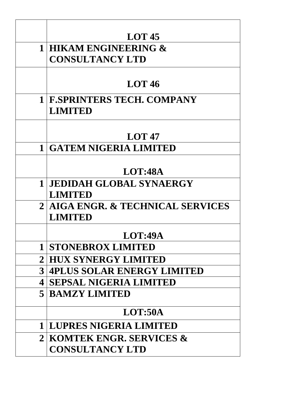|              | LOT45                                        |
|--------------|----------------------------------------------|
|              | <b>1 HIKAM ENGINEERING &amp;</b>             |
|              | <b>CONSULTANCY LTD</b>                       |
|              |                                              |
|              | LOT46                                        |
|              | <b>1 F.SPRINTERS TECH. COMPANY</b>           |
|              | <b>LIMITED</b>                               |
|              |                                              |
|              | LOT 47                                       |
| $\mathbf{1}$ | <b>GATEM NIGERIA LIMITED</b>                 |
|              |                                              |
|              | LOT:48A                                      |
|              | <b>1 JEDIDAH GLOBAL SYNAERGY</b>             |
|              | <b>LIMITED</b>                               |
|              | <b>2 AIGA ENGR. &amp; TECHNICAL SERVICES</b> |
|              | <b>LIMITED</b>                               |
|              | LOT:49A                                      |
| $\mathbf 1$  | <b>STONEBROX LIMITED</b>                     |
|              | <b>HUX SYNERGY LIMITED</b>                   |
|              | <b>3   4PLUS SOLAR ENERGY LIMITED</b>        |
|              | <b>4 SEPSAL NIGERIA LIMITED</b>              |
|              | 5   BAMZY LIMITED                            |
|              | LOT:50A                                      |
|              | <b>1 LUPRES NIGERIA LIMITED</b>              |
|              | <b>2 KOMTEK ENGR. SERVICES &amp;</b>         |
|              | <b>CONSULTANCY LTD</b>                       |
|              |                                              |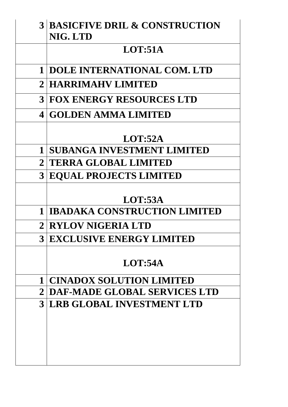|              | <b>3 BASICFIVE DRIL &amp; CONSTRUCTION</b> |
|--------------|--------------------------------------------|
|              | NIG. LTD                                   |
|              | LOT:51A                                    |
| $\mathbf 1$  | DOLE INTERNATIONAL COM. LTD                |
|              | <b>2 HARRIMAHV LIMITED</b>                 |
|              | <b>3 FOX ENERGY RESOURCES LTD</b>          |
|              | 4   GOLDEN AMMA LIMITED                    |
|              |                                            |
| $\mathbf{1}$ | LOT:52A                                    |
|              | <b>SUBANGA INVESTMENT LIMITED</b>          |
|              | 2 TERRA GLOBAL LIMITED                     |
|              | <b>3 EQUAL PROJECTS LIMITED</b>            |
|              |                                            |
|              | LOT:53A                                    |
| $\mathbf 1$  | <b>IBADAKA CONSTRUCTION LIMITED</b>        |
|              | <b>2 RYLOV NIGERIA LTD</b>                 |
|              | <b>3 EXCLUSIVE ENERGY LIMITED</b>          |
|              | LOT:54A                                    |
|              |                                            |
| 1            | <b>CINADOX SOLUTION LIMITED</b>            |
|              | <b>2 DAF-MADE GLOBAL SERVICES LTD</b>      |
|              | <b>3 LRB GLOBAL INVESTMENT LTD</b>         |
|              |                                            |
|              |                                            |
|              |                                            |
|              |                                            |
|              |                                            |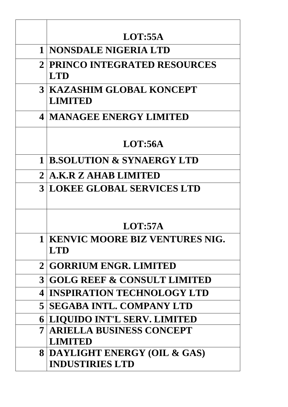|                | LOT:55A                                                 |
|----------------|---------------------------------------------------------|
|                | <b>1 NONSDALE NIGERIA LTD</b>                           |
|                | <b>2 PRINCO INTEGRATED RESOURCES</b><br><b>LTD</b>      |
|                | <b>3 KAZASHIM GLOBAL KONCEPT</b><br><b>LIMITED</b>      |
|                | <b>4 MANAGEE ENERGY LIMITED</b>                         |
|                | LOT:56A                                                 |
|                | <b>1 B.SOLUTION &amp; SYNAERGY LTD</b>                  |
| 2 <sub>1</sub> | <b>A.K.R Z AHAB LIMITED</b>                             |
|                | <b>3 LOKEE GLOBAL SERVICES LTD</b>                      |
|                | LOT:57A                                                 |
| $1\vert$       | <b>KENVIC MOORE BIZ VENTURES NIG.</b><br><b>LTD</b>     |
|                | 2   GORRIUM ENGR. LIMITED                               |
|                | <b>3 GOLG REEF &amp; CONSULT LIMITED</b>                |
|                | <b>4 INSPIRATION TECHNOLOGY LTD</b>                     |
|                | 5 SEGABA INTL. COMPANY LTD                              |
|                | <b>6 LIQUIDO INT'L SERV. LIMITED</b>                    |
| $\mathbf 7$    | <b>ARIELLA BUSINESS CONCEPT</b><br><b>LIMITED</b>       |
|                | 8 DAYLIGHT ENERGY (OIL & GAS)<br><b>INDUSTIRIES LTD</b> |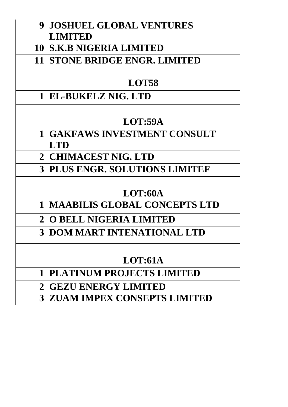| $\boldsymbol{9}$ | <b>JOSHUEL GLOBAL VENTURES</b>        |
|------------------|---------------------------------------|
|                  | <b>LIMITED</b>                        |
|                  | 10 S.K.B NIGERIA LIMITED              |
|                  | 11 STONE BRIDGE ENGR. LIMITED         |
|                  |                                       |
|                  | LOT58                                 |
| 1 <sup>1</sup>   | <b>EL-BUKELZ NIG. LTD</b>             |
|                  |                                       |
|                  | LOT:59A                               |
|                  | <b>1 GAKFAWS INVESTMENT CONSULT</b>   |
|                  | <b>LTD</b>                            |
| 2 <sub>1</sub>   | <b>CHIMACEST NIG. LTD</b>             |
|                  | <b>3 PLUS ENGR. SOLUTIONS LIMITEF</b> |
|                  |                                       |
|                  | LOT:60A                               |
|                  | <b>1 MAABILIS GLOBAL CONCEPTS LTD</b> |
| 2 <sub>1</sub>   | <b>O BELL NIGERIA LIMITED</b>         |
| 3 <sup>1</sup>   | DOM MART INTENATIONAL LTD             |
|                  |                                       |
|                  | LOT:61A                               |
| 1 <sup>1</sup>   | <b>PLATINUM PROJECTS LIMITED</b>      |
| 2 <sup>1</sup>   | <b>GEZU ENERGY LIMITED</b>            |
| 3 <sup>1</sup>   | <b>ZUAM IMPEX CONSEPTS LIMITED</b>    |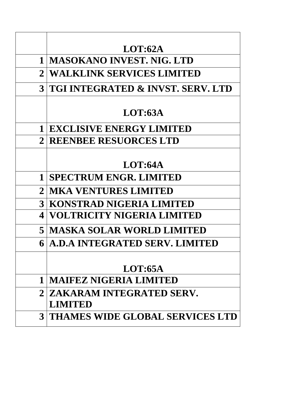|                | LOT:62A                                |
|----------------|----------------------------------------|
| $\mathbf 1$    | <b>MASOKANO INVEST. NIG. LTD</b>       |
| $\overline{2}$ | <b>WALKLINK SERVICES LIMITED</b>       |
|                | 3 TGI INTEGRATED & INVST. SERV. LTD    |
|                |                                        |
|                | LOT:63A                                |
| $\mathbf 1$    | <b>EXCLISIVE ENERGY LIMITED</b>        |
|                | <b>2 REENBEE RESUORCES LTD</b>         |
|                |                                        |
|                | LOT:64A                                |
| $\mathbf{1}$   | <b>SPECTRUM ENGR. LIMITED</b>          |
| $\mathbf{2}$   | <b>MKA VENTURES LIMITED</b>            |
| 3 <sup>1</sup> | <b>KONSTRAD NIGERIA LIMITED</b>        |
| 4              | <b>VOLTRICITY NIGERIA LIMITED</b>      |
|                | <b>5   MASKA SOLAR WORLD LIMITED</b>   |
| 6              | A.D.A INTEGRATED SERV. LIMITED         |
|                |                                        |
|                | LOT:65A                                |
| 1              | <b>MAIFEZ NIGERIA LIMITED</b>          |
| 2 <sub>1</sub> | ZAKARAM INTEGRATED SERV.               |
|                | <b>LIMITED</b>                         |
| 3 <sup>1</sup> | <b>THAMES WIDE GLOBAL SERVICES LTD</b> |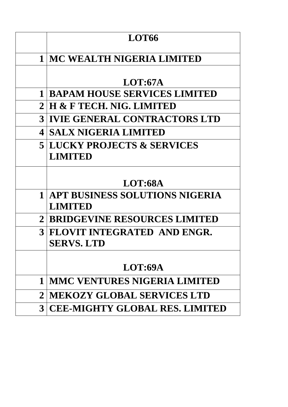|                | LOT66                                  |
|----------------|----------------------------------------|
|                | <b>1 MC WEALTH NIGERIA LIMITED</b>     |
|                | LOT:67A                                |
| 1 <sup>1</sup> | <b>BAPAM HOUSE SERVICES LIMITED</b>    |
| 2 <sub>1</sub> | <b>H &amp; F TECH. NIG. LIMITED</b>    |
|                | <b>3 IVIE GENERAL CONTRACTORS LTD</b>  |
| 4              | <b>SALX NIGERIA LIMITED</b>            |
|                | <b>5 LUCKY PROJECTS &amp; SERVICES</b> |
|                | <b>LIMITED</b>                         |
|                |                                        |
|                | LOT:68A                                |
| 1 <sup>1</sup> | <b>APT BUSINESS SOLUTIONS NIGERIA</b>  |
|                | <b>LIMITED</b>                         |
| 2 <sub>1</sub> | <b>BRIDGEVINE RESOURCES LIMITED</b>    |
| 3 <sup>1</sup> | FLOVIT INTEGRATED AND ENGR.            |
|                | <b>SERVS. LTD</b>                      |
|                |                                        |
|                | LOT:69A                                |
| $\mathbf 1$    | <b>MMC VENTURES NIGERIA LIMITED</b>    |
| 2 <sub>1</sub> | <b>MEKOZY GLOBAL SERVICES LTD</b>      |
| 3 <sup>1</sup> | <b>CEE-MIGHTY GLOBAL RES. LIMITED</b>  |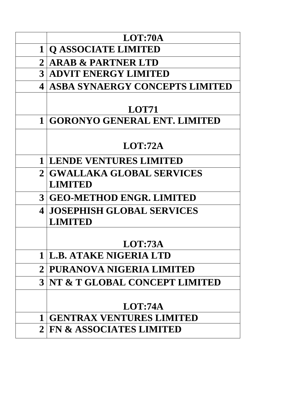|                | LOT:70A                                    |
|----------------|--------------------------------------------|
| $\mathbf 1$    | <b>Q ASSOCIATE LIMITED</b>                 |
| $\mathbf 2$    | <b>ARAB &amp; PARTNER LTD</b>              |
| $\mathbf{3}$   | <b>ADVIT ENERGY LIMITED</b>                |
| 4              | <b>ASBA SYNAERGY CONCEPTS LIMITED</b>      |
|                | <b>LOT71</b>                               |
| $\mathbf 1$    | <b>GORONYO GENERAL ENT. LIMITED</b>        |
|                |                                            |
|                | LOT:72A                                    |
| $\mathbf 1$    | <b>LENDE VENTURES LIMITED</b>              |
|                | <b>2   GWALLAKA GLOBAL SERVICES</b>        |
|                | <b>LIMITED</b>                             |
|                | <b>3 GEO-METHOD ENGR. LIMITED</b>          |
|                | <b>4 JOSEPHISH GLOBAL SERVICES</b>         |
|                | <b>LIMITED</b>                             |
|                |                                            |
|                | <b>LOT:73A</b>                             |
| $\mathbf 1$    | L.B. ATAKE NIGERIA LTD                     |
|                | 2   PURANOVA NIGERIA LIMITED               |
|                | <b>3 NT &amp; T GLOBAL CONCEPT LIMITED</b> |
|                |                                            |
|                | LOT:74A                                    |
| 1              | <b>GENTRAX VENTURES LIMITED</b>            |
| 2 <sub>1</sub> | <b>FN &amp; ASSOCIATES LIMITED</b>         |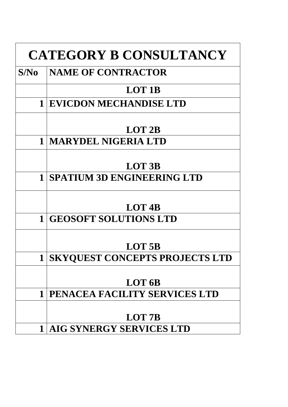| <b>CATEGORY B CONSULTANCY</b> |                                                   |  |
|-------------------------------|---------------------------------------------------|--|
| S/N <sub>0</sub>              | <b>NAME OF CONTRACTOR</b>                         |  |
|                               | <b>LOT 1B</b>                                     |  |
|                               | <b>1 EVICDON MECHANDISE LTD</b>                   |  |
|                               | LOT <sub>2B</sub>                                 |  |
| 1 <sup>1</sup>                | <b>MARYDEL NIGERIA LTD</b>                        |  |
|                               | LOT <sub>3B</sub>                                 |  |
| 1 <sup>1</sup>                | <b>SPATIUM 3D ENGINEERING LTD</b>                 |  |
| $\mathbf{1}$                  | LOT <sub>4B</sub><br><b>GEOSOFT SOLUTIONS LTD</b> |  |
|                               |                                                   |  |
|                               | LOT <sub>5B</sub>                                 |  |
|                               | <b>SKYQUEST CONCEPTS PROJECTS LTD</b>             |  |
|                               | LOT <sub>6</sub> B                                |  |
| $1\vert$                      | PENACEA FACILITY SERVICES LTD                     |  |
|                               | LOT 7B                                            |  |
| $\mathbf 1$                   | AIG SYNERGY SERVICES LTD                          |  |

 $\Gamma$